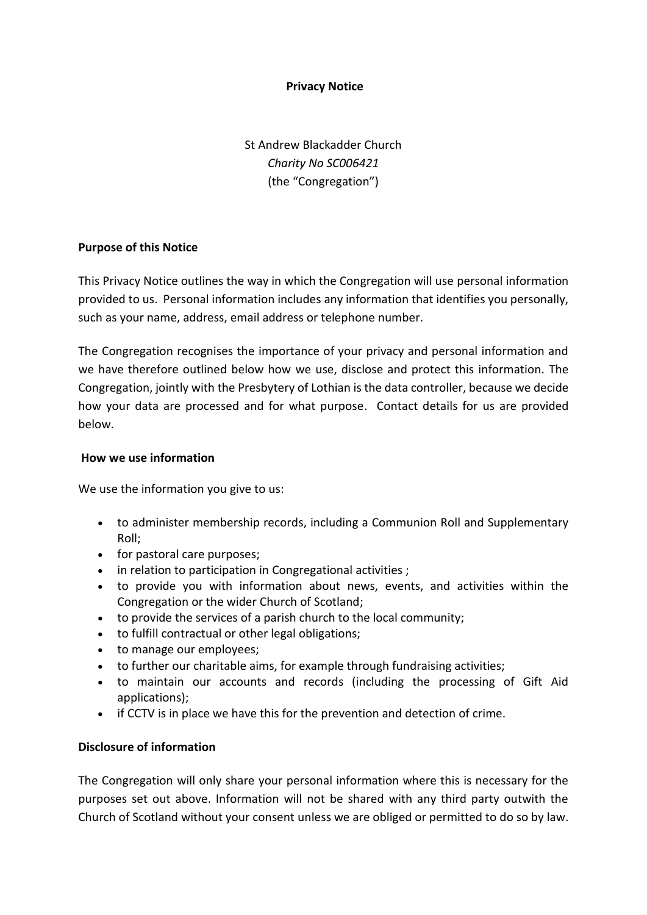## **Privacy Notice**

St Andrew Blackadder Church *Charity No SC006421* (the "Congregation")

### **Purpose of this Notice**

This Privacy Notice outlines the way in which the Congregation will use personal information provided to us. Personal information includes any information that identifies you personally, such as your name, address, email address or telephone number.

The Congregation recognises the importance of your privacy and personal information and we have therefore outlined below how we use, disclose and protect this information. The Congregation, jointly with the Presbytery of Lothian is the data controller, because we decide how your data are processed and for what purpose. Contact details for us are provided below.

### **How we use information**

We use the information you give to us:

- to administer membership records, including a Communion Roll and Supplementary Roll;
- for pastoral care purposes;
- in relation to participation in Congregational activities ;
- to provide you with information about news, events, and activities within the Congregation or the wider Church of Scotland;
- to provide the services of a parish church to the local community;
- to fulfill contractual or other legal obligations;
- to manage our employees;
- to further our charitable aims, for example through fundraising activities;
- to maintain our accounts and records (including the processing of Gift Aid applications);
- if CCTV is in place we have this for the prevention and detection of crime.

# **Disclosure of information**

The Congregation will only share your personal information where this is necessary for the purposes set out above. Information will not be shared with any third party outwith the Church of Scotland without your consent unless we are obliged or permitted to do so by law.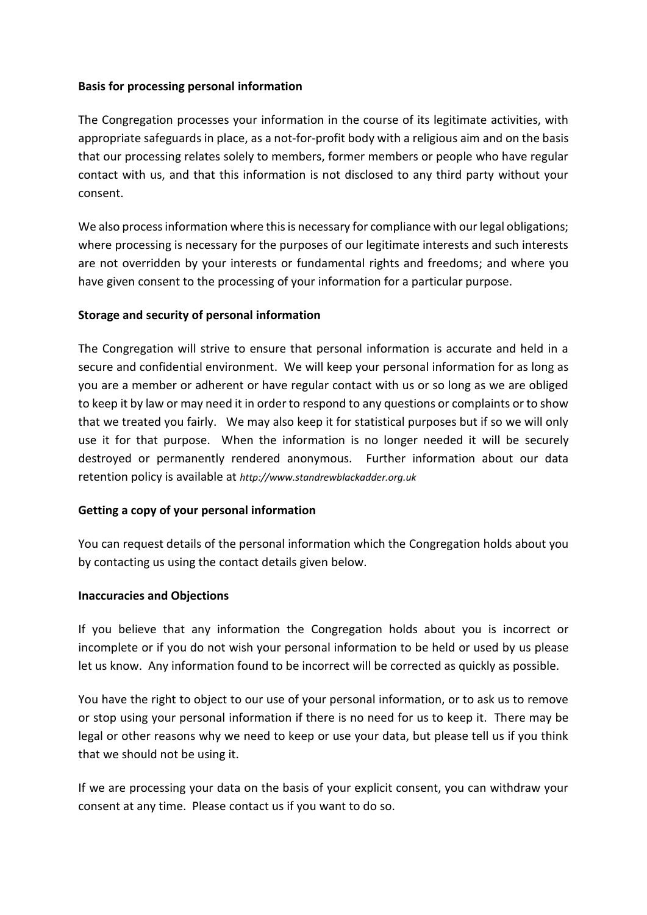## **Basis for processing personal information**

The Congregation processes your information in the course of its legitimate activities, with appropriate safeguards in place, as a not-for-profit body with a religious aim and on the basis that our processing relates solely to members, former members or people who have regular contact with us, and that this information is not disclosed to any third party without your consent.

We also process information where this is necessary for compliance with our legal obligations; where processing is necessary for the purposes of our legitimate interests and such interests are not overridden by your interests or fundamental rights and freedoms; and where you have given consent to the processing of your information for a particular purpose.

# **Storage and security of personal information**

The Congregation will strive to ensure that personal information is accurate and held in a secure and confidential environment. We will keep your personal information for as long as you are a member or adherent or have regular contact with us or so long as we are obliged to keep it by law or may need it in order to respond to any questions or complaints or to show that we treated you fairly. We may also keep it for statistical purposes but if so we will only use it for that purpose. When the information is no longer needed it will be securely destroyed or permanently rendered anonymous. Further information about our data retention policy is available at *http://www.standrewblackadder.org.uk*

### **Getting a copy of your personal information**

You can request details of the personal information which the Congregation holds about you by contacting us using the contact details given below.

### **Inaccuracies and Objections**

If you believe that any information the Congregation holds about you is incorrect or incomplete or if you do not wish your personal information to be held or used by us please let us know. Any information found to be incorrect will be corrected as quickly as possible.

You have the right to object to our use of your personal information, or to ask us to remove or stop using your personal information if there is no need for us to keep it. There may be legal or other reasons why we need to keep or use your data, but please tell us if you think that we should not be using it.

If we are processing your data on the basis of your explicit consent, you can withdraw your consent at any time. Please contact us if you want to do so.